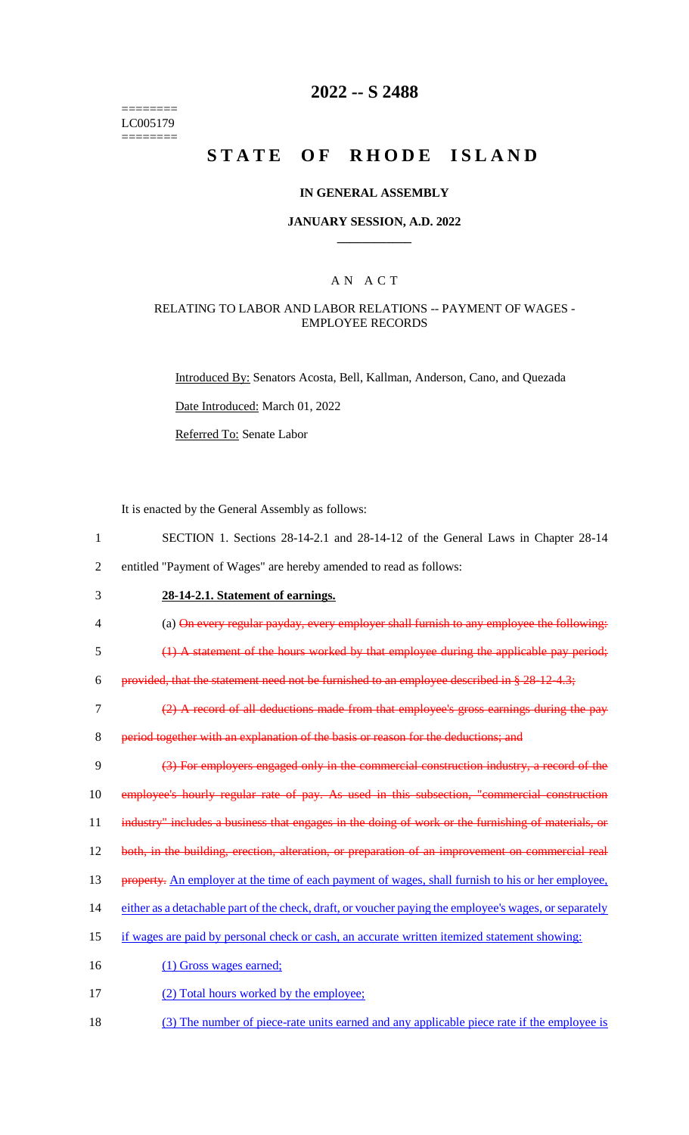======== LC005179 ========

## **2022 -- S 2488**

# **STATE OF RHODE ISLAND**

#### **IN GENERAL ASSEMBLY**

#### **JANUARY SESSION, A.D. 2022 \_\_\_\_\_\_\_\_\_\_\_\_**

## A N A C T

#### RELATING TO LABOR AND LABOR RELATIONS -- PAYMENT OF WAGES - EMPLOYEE RECORDS

Introduced By: Senators Acosta, Bell, Kallman, Anderson, Cano, and Quezada

Date Introduced: March 01, 2022

Referred To: Senate Labor

It is enacted by the General Assembly as follows:

- 1 SECTION 1. Sections 28-14-2.1 and 28-14-12 of the General Laws in Chapter 28-14 2 entitled "Payment of Wages" are hereby amended to read as follows:
- 

3 **28-14-2.1. Statement of earnings.**

- 4 (a) On every regular payday, every employer shall furnish to any employee the following:
- 5 (1) A statement of the hours worked by that employee during the applicable pay period;

6 provided, that the statement need not be furnished to an employee described in  $\S 28-12-4.3$ ;

7 (2) A record of all deductions made from that employee's gross earnings during the pay

8 period together with an explanation of the basis or reason for the deductions; and

9 (3) For employers engaged only in the commercial construction industry, a record of the 10 employee's hourly regular rate of pay. As used in this subsection, "commercial construction 11 industry" includes a business that engages in the doing of work or the furnishing of materials, or

12 both, in the building, erection, alteration, or preparation of an improvement on commercial real

- 13 property. An employer at the time of each payment of wages, shall furnish to his or her employee,
- 14 either as a detachable part of the check, draft, or voucher paying the employee's wages, or separately
- 15 if wages are paid by personal check or cash, an accurate written itemized statement showing:
- 16 (1) Gross wages earned;
- 17 (2) Total hours worked by the employee;
- 18 (3) The number of piece-rate units earned and any applicable piece rate if the employee is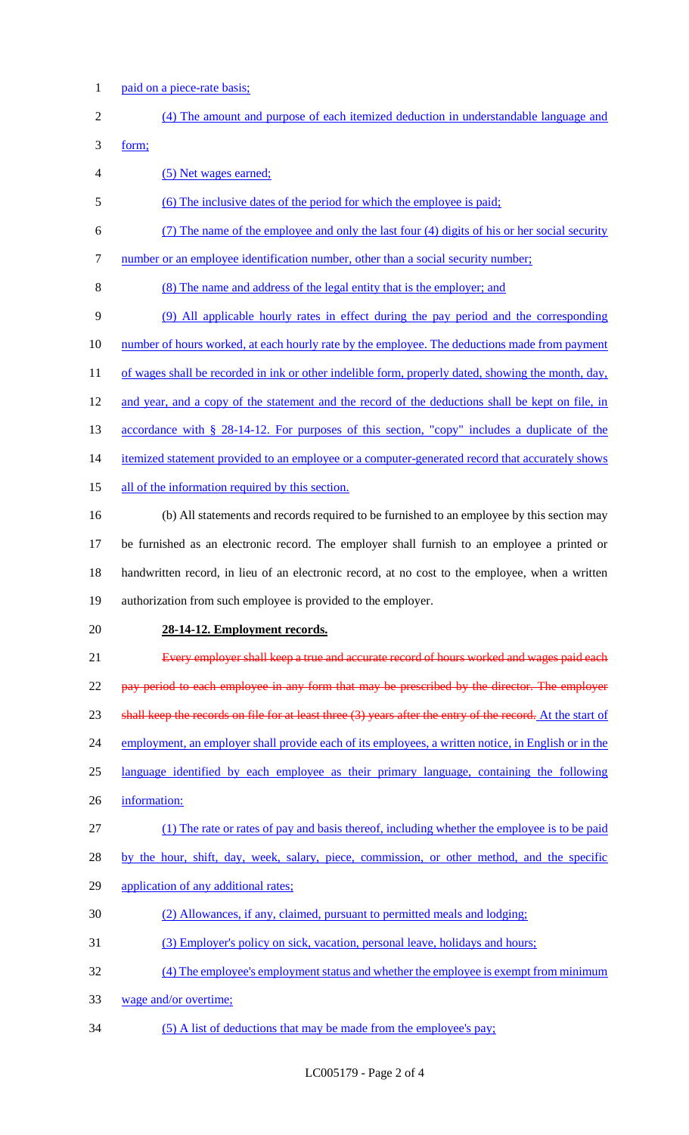1 paid on a piece-rate basis;

| $\sqrt{2}$ | (4) The amount and purpose of each itemized deduction in understandable language and                         |
|------------|--------------------------------------------------------------------------------------------------------------|
| 3          | form;                                                                                                        |
| 4          | (5) Net wages earned;                                                                                        |
| 5          | (6) The inclusive dates of the period for which the employee is paid;                                        |
| 6          | (7) The name of the employee and only the last four (4) digits of his or her social security                 |
| 7          | number or an employee identification number, other than a social security number;                            |
| 8          | (8) The name and address of the legal entity that is the employer; and                                       |
| 9          | (9) All applicable hourly rates in effect during the pay period and the corresponding                        |
| 10         | number of hours worked, at each hourly rate by the employee. The deductions made from payment                |
| 11         | of wages shall be recorded in ink or other indelible form, properly dated, showing the month, day,           |
| 12         | and year, and a copy of the statement and the record of the deductions shall be kept on file, in             |
| 13         | <u>accordance with § 28-14-12. For purposes of this section, "copy" includes a duplicate of the</u>          |
| 14         | itemized statement provided to an employee or a computer-generated record that accurately shows              |
| 15         | all of the information required by this section.                                                             |
| 16         | (b) All statements and records required to be furnished to an employee by this section may                   |
| 17         | be furnished as an electronic record. The employer shall furnish to an employee a printed or                 |
| 18         | handwritten record, in lieu of an electronic record, at no cost to the employee, when a written              |
| 19         | authorization from such employee is provided to the employer.                                                |
| 20         | 28-14-12. Employment records.                                                                                |
| 21         | Every employer shall keep a true and accurate record of hours worked and wages paid each                     |
| 22         | pay period to each employee in any form that may be prescribed by the director. The employer                 |
| 23         | shall keep the records on file for at least three $(3)$ years after the entry of the record. At the start of |
| 24         | employment, an employer shall provide each of its employees, a written notice, in English or in the          |
| 25         | language identified by each employee as their primary language, containing the following                     |
| 26         | information:                                                                                                 |
| 27         | (1) The rate or rates of pay and basis thereof, including whether the employee is to be paid                 |
| 28         | by the hour, shift, day, week, salary, piece, commission, or other method, and the specific                  |
| 29         | application of any additional rates;                                                                         |
| 30         | (2) Allowances, if any, claimed, pursuant to permitted meals and lodging;                                    |
| 31         | (3) Employer's policy on sick, vacation, personal leave, holidays and hours;                                 |
| 32         | (4) The employee's employment status and whether the employee is exempt from minimum                         |
| 33         | wage and/or overtime;                                                                                        |
| 34         | (5) A list of deductions that may be made from the employee's pay;                                           |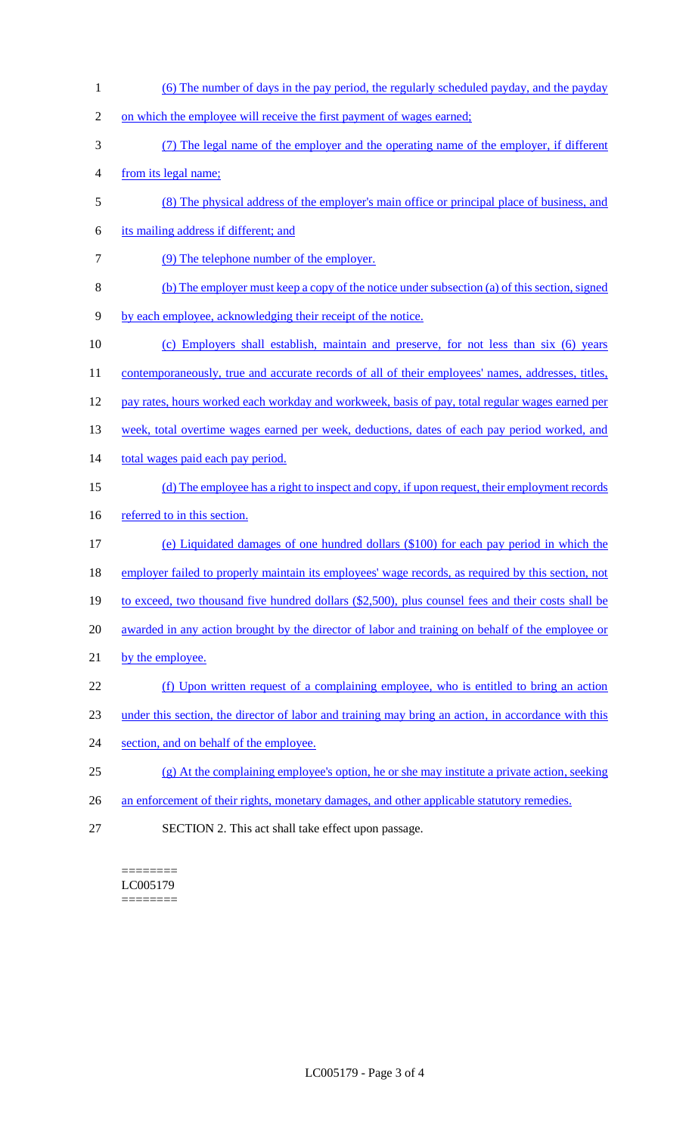1 (6) The number of days in the pay period, the regularly scheduled payday, and the payday 2 on which the employee will receive the first payment of wages earned; 3 (7) The legal name of the employer and the operating name of the employer, if different 4 from its legal name; 5 (8) The physical address of the employer's main office or principal place of business, and 6 its mailing address if different; and 7 (9) The telephone number of the employer. 8 (b) The employer must keep a copy of the notice under subsection (a) of this section, signed 9 by each employee, acknowledging their receipt of the notice. 10 (c) Employers shall establish, maintain and preserve, for not less than six (6) years 11 contemporaneously, true and accurate records of all of their employees' names, addresses, titles, 12 pay rates, hours worked each workday and workweek, basis of pay, total regular wages earned per 13 week, total overtime wages earned per week, deductions, dates of each pay period worked, and 14 total wages paid each pay period. 15 (d) The employee has a right to inspect and copy, if upon request, their employment records 16 referred to in this section. 17 (e) Liquidated damages of one hundred dollars (\$100) for each pay period in which the 18 employer failed to properly maintain its employees' wage records, as required by this section, not 19 to exceed, two thousand five hundred dollars (\$2,500), plus counsel fees and their costs shall be 20 awarded in any action brought by the director of labor and training on behalf of the employee or 21 by the employee. 22 (f) Upon written request of a complaining employee, who is entitled to bring an action 23 under this section, the director of labor and training may bring an action, in accordance with this 24 section, and on behalf of the employee. 25 (g) At the complaining employee's option, he or she may institute a private action, seeking 26 an enforcement of their rights, monetary damages, and other applicable statutory remedies. 27 SECTION 2. This act shall take effect upon passage.

======== LC005179 ========